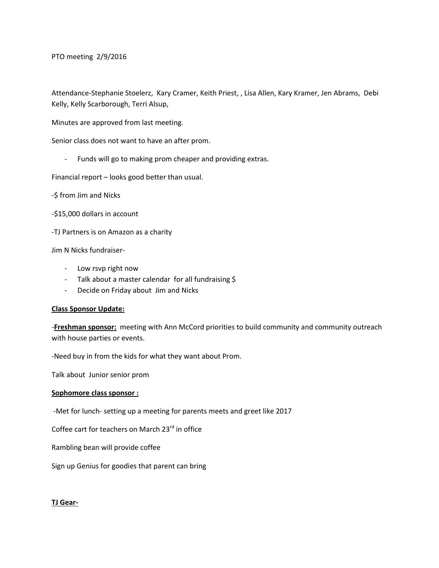PTO meeting 2/9/2016

Attendance-Stephanie Stoelerz, Kary Cramer, Keith Priest, , Lisa Allen, Kary Kramer, Jen Abrams, Debi Kelly, Kelly Scarborough, Terri Alsup,

Minutes are approved from last meeting.

Senior class does not want to have an after prom.

- Funds will go to making prom cheaper and providing extras.

Financial report – looks good better than usual.

-\$ from Jim and Nicks

-\$15,000 dollars in account

-TJ Partners is on Amazon as a charity

Jim N Nicks fundraiser-

- Low rsvp right now
- Talk about a master calendar for all fundraising \$
- Decide on Friday about Jim and Nicks

## **Class Sponsor Update:**

-**Freshman sponsor:** meeting with Ann McCord priorities to build community and community outreach with house parties or events.

-Need buy in from the kids for what they want about Prom.

Talk about Junior senior prom

## **Sophomore class sponsor :**

-Met for lunch- setting up a meeting for parents meets and greet like 2017

Coffee cart for teachers on March 23rd in office

Rambling bean will provide coffee

Sign up Genius for goodies that parent can bring

## **TJ Gear-**